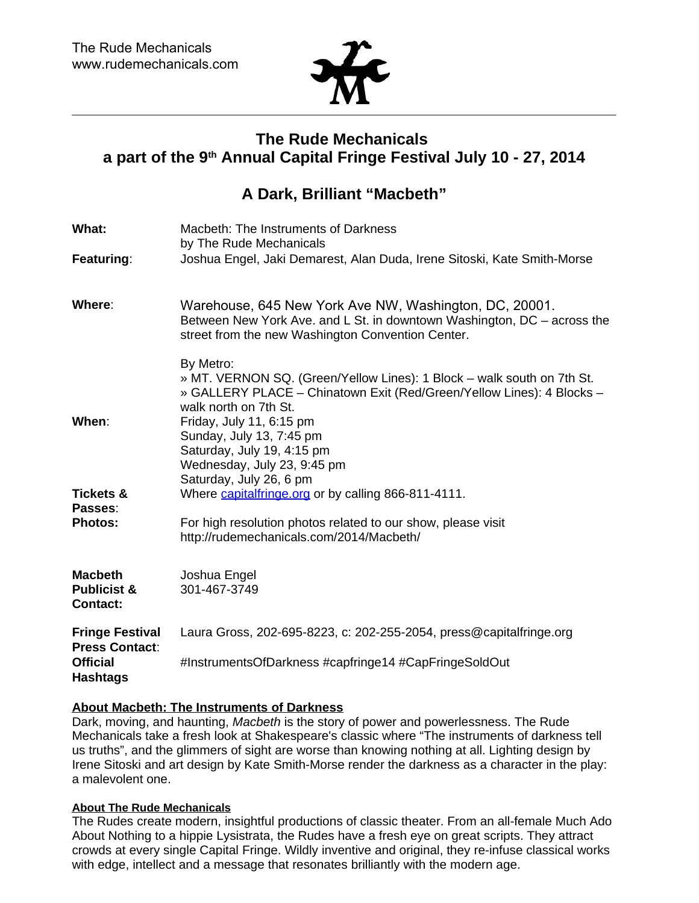

# **The Rude Mechanicals a part of the 9 th Annual Capital Fringe Festival July 10 - 27, 2014**

## **A Dark, Brilliant "Macbeth"**

| What:                                                       | Macbeth: The Instruments of Darkness<br>by The Rude Mechanicals                                                                                                                        |
|-------------------------------------------------------------|----------------------------------------------------------------------------------------------------------------------------------------------------------------------------------------|
| Featuring:                                                  | Joshua Engel, Jaki Demarest, Alan Duda, Irene Sitoski, Kate Smith-Morse                                                                                                                |
| Where:                                                      | Warehouse, 645 New York Ave NW, Washington, DC, 20001.<br>Between New York Ave. and L St. in downtown Washington, DC - across the<br>street from the new Washington Convention Center. |
|                                                             | By Metro:<br>» MT. VERNON SQ. (Green/Yellow Lines): 1 Block - walk south on 7th St.<br>» GALLERY PLACE - Chinatown Exit (Red/Green/Yellow Lines): 4 Blocks -<br>walk north on 7th St.  |
| When:                                                       | Friday, July 11, 6:15 pm<br>Sunday, July 13, 7:45 pm<br>Saturday, July 19, 4:15 pm<br>Wednesday, July 23, 9:45 pm<br>Saturday, July 26, 6 pm                                           |
| <b>Tickets &amp;</b><br>Passes:                             | Where capitalfringe.org or by calling 866-811-4111.                                                                                                                                    |
| <b>Photos:</b>                                              | For high resolution photos related to our show, please visit<br>http://rudemechanicals.com/2014/Macbeth/                                                                               |
| <b>Macbeth</b><br><b>Publicist &amp;</b><br><b>Contact:</b> | Joshua Engel<br>301-467-3749                                                                                                                                                           |
| <b>Fringe Festival</b><br><b>Press Contact:</b>             | Laura Gross, 202-695-8223, c: 202-255-2054, press@capitalfringe.org                                                                                                                    |
| <b>Official</b><br><b>Hashtags</b>                          | #InstrumentsOfDarkness #capfringe14 #CapFringeSoldOut                                                                                                                                  |

## **About Macbeth: The Instruments of Darkness**

Dark, moving, and haunting, Macbeth is the story of power and powerlessness. The Rude Mechanicals take a fresh look at Shakespeare's classic where "The instruments of darkness tell us truths", and the glimmers of sight are worse than knowing nothing at all. Lighting design by Irene Sitoski and art design by Kate Smith-Morse render the darkness as a character in the play: a malevolent one.

### **About The Rude Mechanicals**

The Rudes create modern, insightful productions of classic theater. From an all-female Much Ado About Nothing to a hippie Lysistrata, the Rudes have a fresh eye on great scripts. They attract crowds at every single Capital Fringe. Wildly inventive and original, they re-infuse classical works with edge, intellect and a message that resonates brilliantly with the modern age.